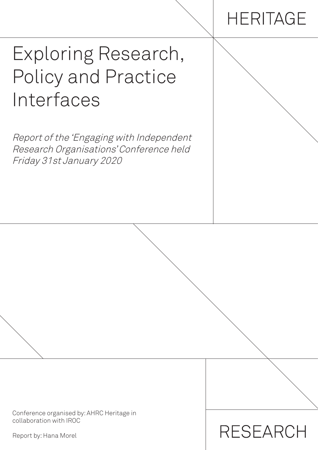# **HERITAGE**

**RESEARCH** 

# Exploring Research, Policy and Practice Interfaces

Report of the 'Engaging with Independent Research Organisations' Conference held Friday 31st January 2020

Conference organised by: AHRC Heritage in collaboration with IROC

Report by: Hana Morel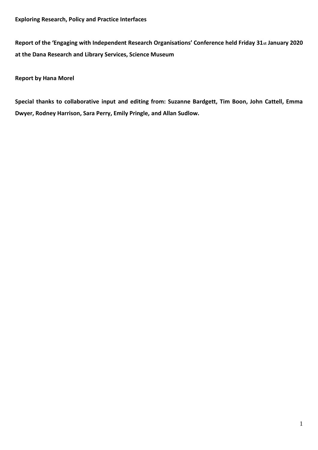**Report of the 'Engaging with Independent Research Organisations' Conference held Friday 31st January 2020 at the Dana Research and Library Services, Science Museum**

**Report by Hana Morel**

**Special thanks to collaborative input and editing from: Suzanne Bardgett, Tim Boon, John Cattell, Emma Dwyer, Rodney Harrison, Sara Perry, Emily Pringle, and Allan Sudlow.**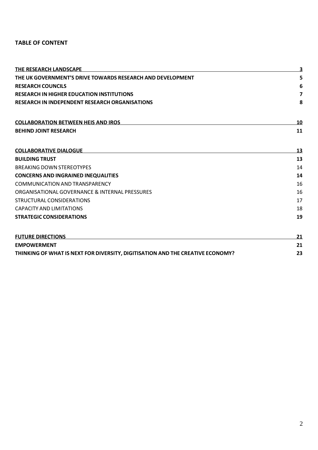# **TABLE OF CONTENT**

| <b>THE RESEARCH LANDSCAPE</b><br>THE UK GOVERNMENT'S DRIVE TOWARDS RESEARCH AND DEVELOPMENT |                |
|---------------------------------------------------------------------------------------------|----------------|
|                                                                                             |                |
| <b>RESEARCH IN HIGHER EDUCATION INSTITUTIONS</b>                                            | $\overline{7}$ |
| <b>RESEARCH IN INDEPENDENT RESEARCH ORGANISATIONS</b>                                       | 8              |
| <b>COLLABORATION BETWEEN HEIS AND IROS</b>                                                  | 10             |
| <b>BEHIND JOINT RESEARCH</b>                                                                | 11             |
| <b>COLLABORATIVE DIALOGUE</b>                                                               | 13             |
| <b>BUILDING TRUST</b>                                                                       | 13             |
| <b>BREAKING DOWN STEREOTYPES</b>                                                            | 14             |
| <b>CONCERNS AND INGRAINED INEQUALITIES</b>                                                  | 14             |
| <b>COMMUNICATION AND TRANSPARENCY</b>                                                       |                |
| ORGANISATIONAL GOVERNANCE & INTERNAL PRESSURES                                              |                |
| STRUCTURAL CONSIDERATIONS                                                                   | 17             |
| CAPACITY AND LIMITATIONS                                                                    | 18             |
| <b>STRATEGIC CONSIDERATIONS</b>                                                             | 19             |
| <b>FUTURE DIRECTIONS</b>                                                                    | 21             |
| <b>EMPOWERMENT</b>                                                                          | 21             |
| THINKING OF WHAT IS NEXT FOR DIVERSITY, DIGITISATION AND THE CREATIVE ECONOMY?              | 23             |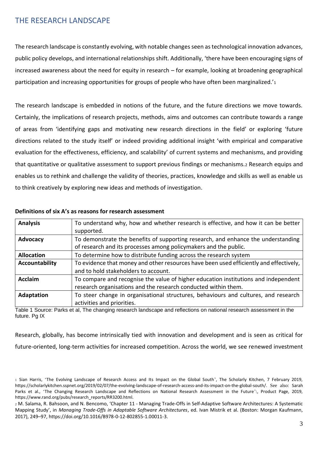# <span id="page-3-0"></span>THE RESEARCH LANDSCAPE

The research landscape is constantly evolving, with notable changes seen as technological innovation advances, public policy develops, and international relationships shift. Additionally, 'there have been encouraging signs of increased awareness about the need for equity in research – for example, looking at broadening geographical participation and increasing opportunities for groups of people who have often been marginalized.'<sup>1</sup>

The research landscape is embedded in notions of the future, and the future directions we move towards. Certainly, the implications of research projects, methods, aims and outcomes can contribute towards a range of areas from 'identifying gaps and motivating new research directions in the field' or exploring 'future directions related to the study itself' or indeed providing additional insight 'with empirical and comparative evaluation for the effectiveness, efficiency, and scalability' of current systems and mechanisms, and providing that quantitative or qualitative assessment to support previous findings or mechanisms.<sup>2</sup> Research equips and enables us to rethink and challenge the validity of theories, practices, knowledge and skills as well as enable us to think creatively by exploring new ideas and methods of investigation.

| <b>Analysis</b>   | To understand why, how and whether research is effective, and how it can be better     |
|-------------------|----------------------------------------------------------------------------------------|
|                   | supported.                                                                             |
| Advocacy          | To demonstrate the benefits of supporting research, and enhance the understanding      |
|                   | of research and its processes among policymakers and the public.                       |
| <b>Allocation</b> | To determine how to distribute funding across the research system                      |
| Accountability    | To evidence that money and other resources have been used efficiently and effectively, |
|                   | and to hold stakeholders to account.                                                   |
| <b>Acclaim</b>    | To compare and recognise the value of higher education institutions and independent    |
|                   | research organisations and the research conducted within them.                         |
| Adaptation        | To steer change in organisational structures, behaviours and cultures, and research    |
|                   | activities and priorities.                                                             |

#### **Definitions of six A's as reasons for research assessment**

Table 1 Source: Parks et al, The changing research landscape and reflections on national research assessment in the future. Pa IX

Research, globally, has become intrinsically tied with innovation and development and is seen as critical for future-oriented, long-term activities for increased competition. Across the world, we see renewed investment

<sup>1</sup> Sian Harris, 'The Evolving Landscape of Research Access and Its Impact on the Global South', The Scholarly Kitchen, 7 February 2019, https://scholarlykitchen.sspnet.org/2019/02/07/the-evolving-landscape-of-research-access-and-its-impact-on-the-global-south/. See also: Sarah Parks et al., 'The Changing Research Landscape and Reflections on National Research Assessment in the Future':, Product Page, 2019, https://www.rand.org/pubs/research\_reports/RR3200.html.

<sup>2</sup> M. Salama, R. Bahsoon, and N. Bencomo, 'Chapter 11 - Managing Trade-Offs in Self-Adaptive Software Architectures: A Systematic Mapping Study', in *Managing Trade-Offs in Adaptable Software Architectures*, ed. Ivan Mistrik et al. (Boston: Morgan Kaufmann, 2017), 249–97, https://doi.org/10.1016/B978-0-12-802855-1.00011-3.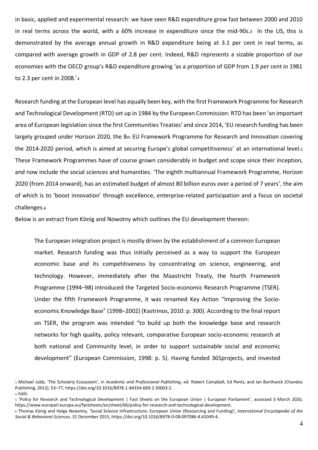in basic, applied and experimental research: we have seen R&D expenditure grow fast between 2000 and 2010 in real terms across the world, with a 60% increase in expenditure since the mid-90s.<sup>3</sup> In the US, this is demonstrated by the average annual growth in R&D expenditure being at 3.1 per cent in real terms, as compared with average growth in GDP of 2.8 per cent. Indeed, R&D represents a sizable proportion of our economies with the OECD group's R&D expenditure growing 'as a proportion of GDP from 1.9 per cent in 1981 to 2.3 per cent in 2008.'<sup>4</sup>

Research funding at the European level has equally been key, with the first Framework Programme for Research and Technological Development (RTD) set up in 1984 by the European Commission: RTD has been 'an important area of European legislation since the first Communities Treaties' and since 2014, 'EU research funding has been largely grouped under Horizon 2020, the 8th EU Framework Programme for Research and Innovation covering the 2014-2020 period, which is aimed at securing Europe's global competitiveness' at an international level.<sup>5</sup> These Framework Programmes have of course grown considerably in budget and scope since their inception, and now include the social sciences and humanities. 'The eighth multiannual Framework Programme, Horizon 2020 (from 2014 onward), has an estimated budget of almost 80 billion euros over a period of 7 years', the aim of which is to 'boost innovation' through excellence, enterprise-related participation and a focus on societal challenges.<sup>6</sup>

Below is an extract from König and Nowotny which outlines the EU development thereon:

The European integration project is mostly driven by the establishment of a common European market. Research funding was thus initially perceived as a way to support the European economic base and its competitiveness by concentrating on science, engineering, and technology. However, immediately after the Maastricht Treaty, the fourth Framework Programme (1994–98) introduced the Targeted Socio-economic Research Programme (TSER). Under the fifth Framework Programme, it was renamed Key Action "Improving the Socioeconomic Knowledge Base" (1998–2002) (Kastrinos, 2010: p. 300). According to the final report on TSER, the program was intended "to build up both the knowledge base and research networks for high quality, policy relevant, comparative European socio-economic research at both national and Community level, in order to support sustainable social and economic development" (European Commission, 1998: p. 5). Having funded 365projects, and invested

<sup>3</sup> Michael Jubb, 'The Scholarly Ecosystem', in *Academic and Professional Publishing*, ed. Robert Campbell, Ed Pentz, and Ian Borthwick (Chandos Publishing, 2012), 53–77, https://doi.org/10.1016/B978-1-84334-669-2.50003-2. <sup>4</sup> Jubb.

<sup>5</sup> 'Policy for Research and Technological Development | Fact Sheets on the European Union | European Parliament', accessed 3 March 2020, https://www.europarl.europa.eu/factsheets/en/sheet/66/policy-for-research-and-technological-development.

<sup>6</sup> Thomas König and Helga Nowotny, 'Social Science Infrastructure: European Union (Resourcing and Funding)', *International Encyclopedia of the Social & Behavioral Sciences*, 31 December 2015, https://doi.org/10.1016/B978-0-08-097086-8.41049-4.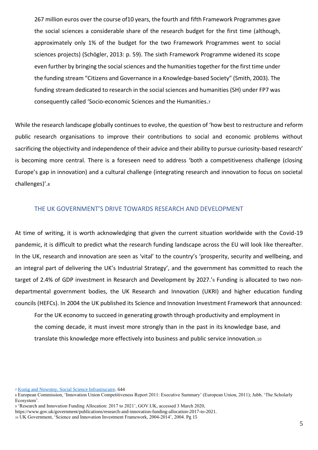267 million euros over the course of10 years, the fourth and fifth Framework Programmes gave the social sciences a considerable share of the research budget for the first time (although, approximately only 1% of the budget for the two Framework Programmes went to social sciences projects) (Schögler, 2013: p. 59). The sixth Framework Programme widened its scope even further by bringing the social sciences and the humanities together for the first time under the funding stream "Citizens and Governance in a Knowledge-based Society" (Smith, 2003). The funding stream dedicated to research in the social sciences and humanities (SH) under FP7 was consequently called 'Socio-economic Sciences and the Humanities.<sup>7</sup>

While the research landscape globally continues to evolve, the question of 'how best to restructure and reform public research organisations to improve their contributions to social and economic problems without sacrificing the objectivity and independence of their advice and their ability to pursue curiosity-based research' is becoming more central. There is a foreseen need to address 'both a competitiveness challenge (closing Europe's gap in innovation) and a cultural challenge (integrating research and innovation to focus on societal challenges)'.<sup>8</sup>

# <span id="page-5-0"></span>THE UK GOVERNMENT'S DRIVE TOWARDS RESEARCH AND DEVELOPMENT

At time of writing, it is worth acknowledging that given the current situation worldwide with the Covid-19 pandemic, it is difficult to predict what the research funding landscape across the EU will look like thereafter. In the UK, research and innovation are seen as 'vital' to the country's 'prosperity, security and wellbeing, and an integral part of delivering the UK's Industrial Strategy', and the government has committed to reach the target of 2.4% of GDP investment in Research and Development by 2027.'<sup>9</sup> Funding is allocated to two nondepartmental government bodies, the UK Research and Innovation (UKRI) and higher education funding councils (HEFCs). In 2004 the UK published its Science and Innovation Investment Framework that announced:

For the UK economy to succeed in generating growth through productivity and employment in the coming decade, it must invest more strongly than in the past in its knowledge base, and translate this knowledge more effectively into business and public service innovation.<sup>10</sup>

<sup>7</sup> [Konig and Nowotny, Social Science Infrastrucutre.](https://pdf.sciencedirectassets.com/312634/3-s2.0-C20101671416/3-s2.0-B9780080970868410494/main.pdf?X-Amz-Security-To-ken=IQoJb3JpZ2luX2VjEOb%2F%2F%2F%2F%2F%2F%2F%2F%2F%2FwEaCXVzLWVhc3QtMSJIMEYCIQD%2ByDuD1aGAAdKk7QLDNHVp6a%2F%2FHGuxP%2BOq9ieFZM0gVgIhAPk%2FpqZwZxwJIVOk%2FxosBG4gNMADx%2FopBVuJKjyy0vZNKr0DCI7%2F%2F%2F%2F%2F%2F%2F%2F%2F%2FwEQAhoMMDU5MDAzNTQ2ODY1Igx6SRfhDKaox6KxPTcqkQOqd5KU6i63wZ1ClZP%2BTZzqef8llugDU00nVy6C94fwYi67ynE4efa6I5Udd%2BdNwMgXEVUM%2BnZ%2FPw5teqg5xGCi8YFjIdqnPbQaPqH79of54c1mUAt0dcr2UJU9ikP%2Fs2fpUubewl82M%2FaH4LCIBBiH%2FkgBA1RnKkjYkvkiTra-tOw8YVJpYNASDwyNxcOMeXHdmCYun1piijpQX4jovxWMDM0PvUzJA%2BgGo%2B2Qc30EUH07GTyJOLD3nHn1e8AcQdSvdVni8gZlK%2FxguRgoitssgs2LrgNIA%2B8om5O39jcyS6v9yKfUgwzq93m3kVLhyb5sVbb4wVnRtzGG7Shqhq11EIFLjOlDKUidXVu45498l836jOrRikggHdkQx1sIWtLqQSmX%2BWALil0G9dDyqQ5whnJDdA%2BHGkEpq26qJaxs1EPRSFZ%2FIy8vVU%2FpGPuSdmnGzcnb3cjP%2BcoHLWSyyqdGdelRntBXqyU1WGUqsNxSHJDDmcdJio2bu%2Fway12dK70Hrxm3Yo6kUtd2w%2BFkT0t3kkjCX%2F%2BrxBTrqARI8n8zsxUBkMSGdBOXnqk3nQnva5yoQXp0RKKb%2F6gLL9yv2%2F9nUFjC0f44ebpAQZWbefGJvpMIlTE8JOguzMo1CovB5qj15B5jCvM4utofje6yFXk%2BKB2QLgi7jS6JfDfyhuoLNG%2FdWCYkDpVDcz1i6EC1DS4g22Ot31kKtCnfQuLI4DE23wVJa1U8FzqVvcnSYO1CRjLqmwdggVfbHLKNYtBHm2FRhyVygmI5jEp%2F%2BP4ae65b42lysO0BxtVHkno6LZHnKcF%2Beo1J49Igw9EKpLTBNfq2ZiKU0U9NasHaelvdmD266w8Qa%2BQ%3D%3D&X-Amz-Algorithm=AWS4-HMAC-SHA256&X-Amz-Date=20200205T141325Z&X-Amz-SignedHeaders=host&X-Amz-Expires=300&X-Amz-Credential=ASIAQ3PHCVTY23ABNCRD%2F20200205%2Fus-east-1%2Fs3%2Faws4_request&X-Amz-Signa-tu-re=1d769739a85c3399502da84c361980ad4d63193302d93709c8509a8c2a696417&hash=95e691d0b39499119d03562035053c7794aff1428efb2e301093606a605c3d52&host=68042c943591013ac2b2430a89b270f6af2c76d8dfd086a07176afe7c76c2c61&pii=B9780080970868410494&tid=spdf-3c7c675c-41e0-44de-b06e-009acf2eaed4&sid=f408465922fa6245c469502222c9a80acbc4gxrqb&type=client) 644

<sup>9</sup> 'Research and Innovation Funding Allocation: 2017 to 2021', GOV.UK, accessed 3 March 2020,

<sup>8</sup> European Commission, 'Innovation Union Competitiveness Report 2011: Executive Summary' (European Union, 2011); Jubb, 'The Scholarly Ecosystem'.

https://www.gov.uk/government/publications/research-and-innovation-funding-allocation-2017-to-2021.

<sup>10</sup> UK Government, 'Science and Innovation Investment Framework, 2004-2014', 2004. Pg 15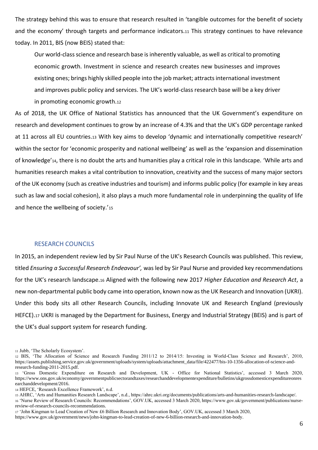The strategy behind this was to ensure that research resulted in 'tangible outcomes for the benefit of society and the economy' through targets and performance indicators.11 This strategy continues to have relevance today. In 2011, BIS (now BEIS) stated that:

Our world-class science and research base is inherently valuable, as well as critical to promoting economic growth. Investment in science and research creates new businesses and improves existing ones; brings highly skilled people into the job market; attracts international investment and improves public policy and services. The UK's world-class research base will be a key driver in promoting economic growth.<sup>12</sup>

As of 2018, the UK Office of National Statistics has announced that the UK Government's expenditure on research and development continues to grow by an increase of 4.3% and that the UK's GDP percentage ranked at 11 across all EU countries.<sup>13</sup> With key aims to develop 'dynamic and internationally competitive research' within the sector for 'economic prosperity and national wellbeing' as well as the 'expansion and dissemination of knowledge'14, there is no doubt the arts and humanities play a critical role in this landscape. 'While arts and humanities research makes a vital contribution to innovation, creativity and the success of many major sectors of the UK economy (such as creative industries and tourism) and informs public policy (for example in key areas such as law and social cohesion), it also plays a much more fundamental role in underpinning the quality of life and hence the wellbeing of society.'15

# <span id="page-6-0"></span>RESEARCH COUNCILS

In 2015, an independent review led by Sir Paul Nurse of the UK's Research Councils was published. This review, titled *Ensuring a Successful Research Endeavour',* was led by Sir Paul Nurse and provided key recommendations for the UK's research landscape.<sup>16</sup> Aligned with the following new 2017 *Higher Education and Research Act*, a new non-departmental public body came into operation, known now as the UK Research and Innovation (UKRI). Under this body sits all other Research Councils, including Innovate UK and Research England (previously HEFCE).<sup>17</sup> UKRI is managed by the Department for Business, Energy and Industrial Strategy (BEIS) and is part of the UK's dual support system for research funding.

<sup>15</sup> AHRC, 'Arts and Humanities Research Landscape', n.d., https://ahrc.ukri.org/documents/publications/arts-and-humanities-research-landscape/. <sup>16</sup> 'Nurse Review of Research Councils: Recommendations', GOV.UK, accessed 3 March 2020, https://www.gov.uk/government/publications/nursereview-of-research-councils-recommendations.

<sup>11</sup> Jubb, 'The Scholarly Ecosystem'.

<sup>12</sup> BIS, 'The Allocation of Science and Research Funding 2011/12 to 2014/15: Investing in World-Class Science and Research', 2010, https://assets.publishing.service.gov.uk/government/uploads/system/uploads/attachment\_data/file/422477/bis-10-1356-allocation-of-science-andresearch-funding-2011-2015.pdf.

<sup>13</sup> 'Gross Domestic Expenditure on Research and Development, UK - Office for National Statistics', accessed 3 March 2020, https://www.ons.gov.uk/economy/governmentpublicsectorandtaxes/researchanddevelopmentexpenditure/bulletins/ukgrossdomesticexpenditureonres earchanddevelopment/2016.

<sup>14</sup> HEFCE, 'Research Excellence Framework', n.d.

<sup>17</sup> 'John Kingman to Lead Creation of New £6 Billion Research and Innovation Body', GOV.UK, accessed 3 March 2020, https://www.gov.uk/government/news/john-kingman-to-lead-creation-of-new-6-billion-research-and-innovation-body.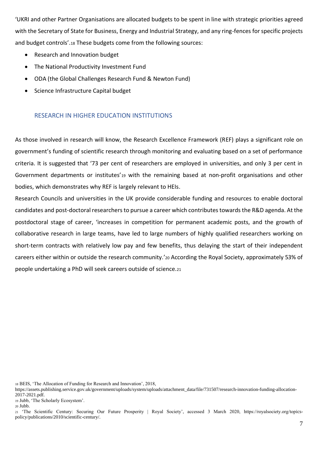'UKRI and other Partner Organisations are allocated budgets to be spent in line with strategic priorities agreed with the Secretary of State for Business, Energy and Industrial Strategy, and any ring-fences for specific projects and budget controls'.<sup>18</sup> These budgets come from the following sources:

- Research and Innovation budget
- The National Productivity Investment Fund
- ODA (the Global Challenges Research Fund & Newton Fund)
- Science Infrastructure Capital budget

# <span id="page-7-0"></span>RESEARCH IN HIGHER EDUCATION INSTITUTIONS

As those involved in research will know, the Research Excellence Framework (REF) plays a significant role on government's funding of scientific research through monitoring and evaluating based on a set of performance criteria. It is suggested that '73 per cent of researchers are employed in universities, and only 3 per cent in Government departments or institutes'<sub>19</sub> with the remaining based at non-profit organisations and other bodies, which demonstrates why REF is largely relevant to HEIs.

Research Councils and universities in the UK provide considerable funding and resources to enable doctoral candidates and post-doctoral researchers to pursue a career which contributes towards the R&D agenda. At the postdoctoral stage of career, 'increases in competition for permanent academic posts, and the growth of collaborative research in large teams, have led to large numbers of highly qualified researchers working on short-term contracts with relatively low pay and few benefits, thus delaying the start of their independent careers either within or outside the research community.'<sup>20</sup> According the Royal Society, approximately 53% of people undertaking a PhD will seek careers outside of science.<sup>21</sup>

- <sup>18</sup> BEIS, 'The Allocation of Funding for Research and Innovation', 2018,
- https://assets.publishing.service.gov.uk/government/uploads/system/uploads/attachment\_data/file/731507/research-innovation-funding-allocation-2017-2021.pdf.
- <sup>19</sup> Jubb, 'The Scholarly Ecosystem'.

<sup>21</sup> 'The Scientific Century: Securing Our Future Prosperity | Royal Society', accessed 3 March 2020, https://royalsociety.org/topicspolicy/publications/2010/scientific-century/.

<sup>20</sup> Jubb.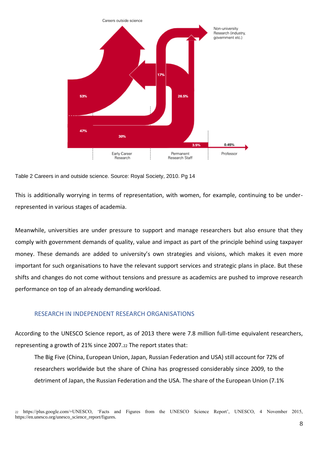

Table 2 Careers in and outside science. Source: Royal Society, 2010. Pg 14

This is additionally worrying in terms of representation, with women, for example, continuing to be underrepresented in various stages of academia.

Meanwhile, universities are under pressure to support and manage researchers but also ensure that they comply with government demands of quality, value and impact as part of the principle behind using taxpayer money. These demands are added to university's own strategies and visions, which makes it even more important for such organisations to have the relevant support services and strategic plans in place. But these shifts and changes do not come without tensions and pressure as academics are pushed to improve research performance on top of an already demanding workload.

# <span id="page-8-0"></span>RESEARCH IN INDEPENDENT RESEARCH ORGANISATIONS

According to the UNESCO Science report, as of 2013 there were 7.8 million full-time equivalent researchers, representing a growth of 21% since 2007.<sup>22</sup> The report states that:

The Big Five (China, European Union, Japan, Russian Federation and USA) still account for 72% of researchers worldwide but the share of China has progressed considerably since 2009, to the detriment of Japan, the Russian Federation and the USA. The share of the European Union (7.1%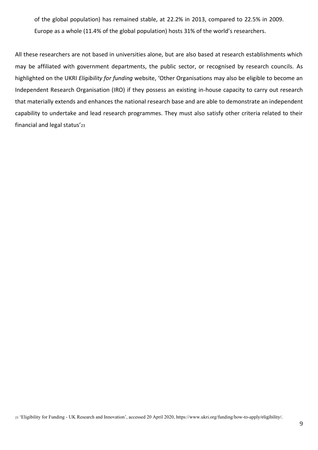of the global population) has remained stable, at 22.2% in 2013, compared to 22.5% in 2009. Europe as a whole (11.4% of the global population) hosts 31% of the world's researchers.

All these researchers are not based in universities alone, but are also based at research establishments which may be affiliated with government departments, the public sector, or recognised by research councils. As highlighted on the UKRI *Eligibility for funding* website, 'Other Organisations may also be eligible to become an Independent Research Organisation (IRO) if they possess an existing in-house capacity to carry out research that materially extends and enhances the national research base and are able to demonstrate an independent capability to undertake and lead research programmes. They must also satisfy other criteria related to their financial and legal status'<sup>23</sup>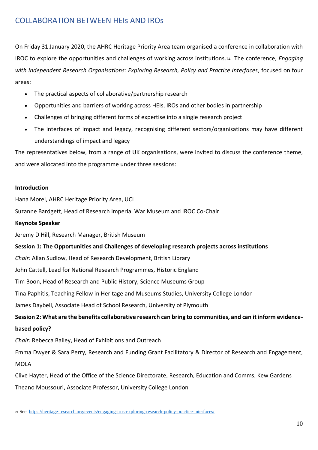# <span id="page-10-0"></span>COLLABORATION BETWEEN HEIs AND IROs

On Friday 31 January 2020, the AHRC Heritage Priority Area team organised a conference in collaboration with IROC to explore the opportunities and challenges of working across institutions.<sup>24</sup> The conference, *Engaging with Independent Research Organisations: Exploring Research, Policy and Practice Interfaces*, focused on four areas:

- The practical aspects of collaborative/partnership research
- Opportunities and barriers of working across HEIs, IROs and other bodies in partnership
- Challenges of bringing different forms of expertise into a single research project
- The interfaces of impact and legacy, recognising different sectors/organisations may have different understandings of impact and legacy

The representatives below, from a range of UK organisations, were invited to discuss the conference theme, and were allocated into the programme under three sessions:

# **Introduction**

Hana Morel, AHRC Heritage Priority Area, UCL

Suzanne Bardgett, Head of Research Imperial War Museum and IROC Co-Chair

# **Keynote Speaker**

Jeremy D Hill, Research Manager, British Museum

# **Session 1: The Opportunities and Challenges of developing research projects across institutions**

*Chair:* Allan Sudlow, Head of Research Development, British Library

John Cattell, Lead for National Research Programmes, Historic England

Tim Boon, Head of Research and Public History, Science Museums Group

Tina Paphitis, Teaching Fellow in Heritage and Museums Studies, University College London

James Daybell, Associate Head of School Research, University of Plymouth

**Session 2: What are the benefits collaborative research can bring to communities, and can it inform evidencebased policy?**

*Chair:* Rebecca Bailey, Head of Exhibitions and Outreach

Emma Dwyer & Sara Perry, Research and Funding Grant Facilitatory & Director of Research and Engagement, MOLA

Clive Hayter, Head of the Office of the Science Directorate, Research, Education and Comms, Kew Gardens Theano Moussouri, Associate Professor, University College London

<sup>24</sup> See[: https://heritage-research.org/events/engaging-iros-exploring-research-policy-practice-interfaces/](https://heritage-research.org/events/engaging-iros-exploring-research-policy-practice-interfaces/)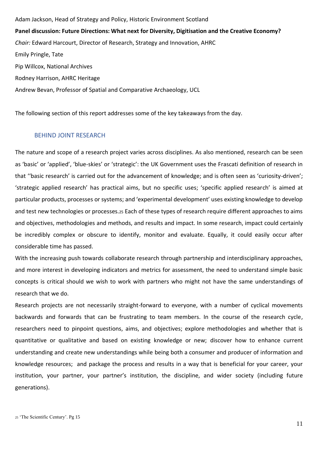Adam Jackson, Head of Strategy and Policy, Historic Environment Scotland **Panel discussion: Future Directions: What next for Diversity, Digitisation and the Creative Economy?** *Chair:* Edward Harcourt, Director of Research, Strategy and Innovation, AHRC Emily Pringle, Tate Pip Willcox, National Archives Rodney Harrison, AHRC Heritage Andrew Bevan, Professor of Spatial and Comparative Archaeology, UCL

The following section of this report addresses some of the key takeaways from the day.

# <span id="page-11-0"></span>BEHIND JOINT RESEARCH

The nature and scope of a research project varies across disciplines. As also mentioned, research can be seen as 'basic' or 'applied', 'blue-skies' or 'strategic': the UK Government uses the Frascati definition of research in that ''basic research' is carried out for the advancement of knowledge; and is often seen as 'curiosity-driven'; 'strategic applied research' has practical aims, but no specific uses; 'specific applied research' is aimed at particular products, processes or systems; and 'experimental development' uses existing knowledge to develop and test new technologies or processes.<sup>25</sup> Each of these types of research require different approaches to aims and objectives, methodologies and methods, and results and impact. In some research, impact could certainly be incredibly complex or obscure to identify, monitor and evaluate. Equally, it could easily occur after considerable time has passed.

With the increasing push towards collaborate research through partnership and interdisciplinary approaches, and more interest in developing indicators and metrics for assessment, the need to understand simple basic concepts is critical should we wish to work with partners who might not have the same understandings of research that we do.

Research projects are not necessarily straight-forward to everyone, with a number of cyclical movements backwards and forwards that can be frustrating to team members. In the course of the research cycle, researchers need to pinpoint questions, aims, and objectives; explore methodologies and whether that is quantitative or qualitative and based on existing knowledge or new; discover how to enhance current understanding and create new understandings while being both a consumer and producer of information and knowledge resources; and package the process and results in a way that is beneficial for your career, your institution, your partner, your partner's institution, the discipline, and wider society (including future generations).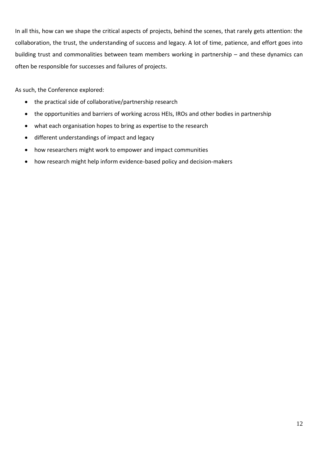In all this, how can we shape the critical aspects of projects, behind the scenes, that rarely gets attention: the collaboration, the trust, the understanding of success and legacy. A lot of time, patience, and effort goes into building trust and commonalities between team members working in partnership – and these dynamics can often be responsible for successes and failures of projects.

As such, the Conference explored:

- the practical side of collaborative/partnership research
- the opportunities and barriers of working across HEIs, IROs and other bodies in partnership
- what each organisation hopes to bring as expertise to the research
- different understandings of impact and legacy
- how researchers might work to empower and impact communities
- <span id="page-12-0"></span>• how research might help inform evidence-based policy and decision-makers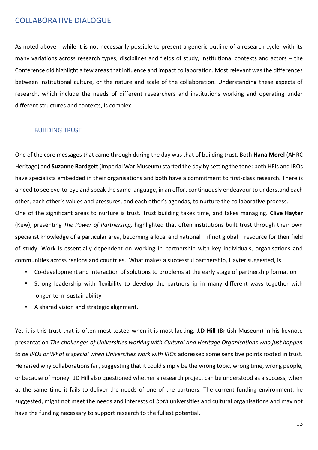# COLLABORATIVE DIALOGUE

As noted above - while it is not necessarily possible to present a generic outline of a research cycle, with its many variations across research types, disciplines and fields of study, institutional contexts and actors – the Conference did highlight a few areas that influence and impact collaboration. Most relevant was the differences between institutional culture, or the nature and scale of the collaboration. Understanding these aspects of research, which include the needs of different researchers and institutions working and operating under different structures and contexts, is complex.

# <span id="page-13-0"></span>BUILDING TRUST

One of the core messages that came through during the day was that of building trust. Both **Hana Morel** (AHRC Heritage) and **Suzanne Bardgett** (Imperial War Museum) started the day by setting the tone: both HEIs and IROs have specialists embedded in their organisations and both have a commitment to first-class research. There is a need to see eye-to-eye and speak the same language, in an effort continuously endeavour to understand each other, each other's values and pressures, and each other's agendas, to nurture the collaborative process.

One of the significant areas to nurture is trust. Trust building takes time, and takes managing. **Clive Hayter**  (Kew), presenting *The Power of Partnership,* highlighted that often institutions built trust through their own specialist knowledge of a particular area, becoming a local and national – if not global – resource for their field of study. Work is essentially dependent on working in partnership with key individuals, organisations and communities across regions and countries. What makes a successful partnership, Hayter suggested, is

- Co-development and interaction of solutions to problems at the early stage of partnership formation
- Strong leadership with flexibility to develop the partnership in many different ways together with longer-term sustainability
- A shared vision and strategic alignment.

Yet it is this trust that is often most tested when it is most lacking. **J.D Hill** (British Museum) in his keynote presentation *The challenges of Universities working with Cultural and Heritage Organisations who just happen to be IROs or What is special when Universities work with IROs* addressed some sensitive points rooted in trust. He raised why collaborations fail, suggesting that it could simply be the wrong topic, wrong time, wrong people, or because of money. JD Hill also questioned whether a research project can be understood as a success, when at the same time it fails to deliver the needs of one of the partners. The current funding environment, he suggested, might not meet the needs and interests of *both* universities and cultural organisations and may not have the funding necessary to support research to the fullest potential.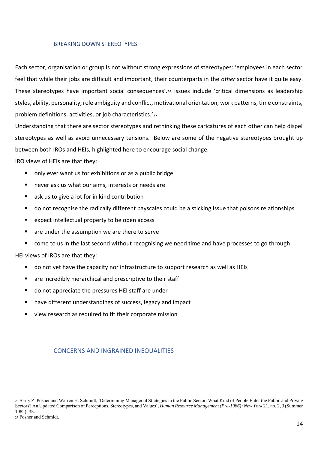#### <span id="page-14-0"></span>BREAKING DOWN STEREOTYPES

Each sector, organisation or group is not without strong expressions of stereotypes: 'employees in each sector feel that while their jobs are difficult and important, their counterparts in the *other* sector have it quite easy. These stereotypes have important social consequences'.<sup>26</sup> Issues include 'critical dimensions as leadership styles, ability, personality, role ambiguity and conflict, motivational orientation, work patterns, time constraints, problem definitions, activities, or job characteristics.'<sup>27</sup>

Understanding that there are sector stereotypes and rethinking these caricatures of each other can help dispel stereotypes as well as avoid unnecessary tensions. Below are some of the negative stereotypes brought up between both IROs and HEIs, highlighted here to encourage social change.

IRO views of HEIs are that they:

- only ever want us for exhibitions or as a public bridge
- never ask us what our aims, interests or needs are
- ask us to give a lot for in kind contribution
- do not recognise the radically different payscales could be a sticking issue that poisons relationships
- expect intellectual property to be open access
- are under the assumption we are there to serve
- come to us in the last second without recognising we need time and have processes to go through

HEI views of IROs are that they:

- do not yet have the capacity nor infrastructure to support research as well as HEIs
- are incredibly hierarchical and prescriptive to their staff
- do not appreciate the pressures HEI staff are under
- have different understandings of success, legacy and impact
- view research as required to fit their corporate mission

# <span id="page-14-1"></span>CONCERNS AND INGRAINED INEQUALITIES

<sup>26</sup> Barry Z. Posner and Warren H. Schmidt, 'Determining Managerial Strategies in the Public Sector: What Kind of People Enter the Public and Private Sectors? An Updated Comparison of Perceptions, Stereotypes, and Values', *Human Resource Management (Pre-1986); New York* 21, no. 2, 3 (Summer 1982): 35.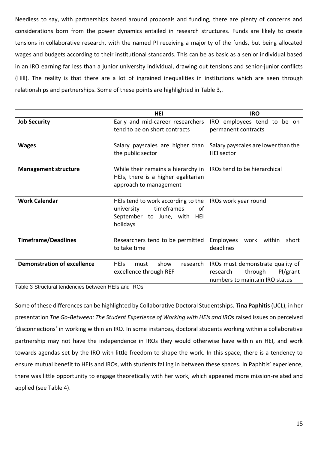Needless to say, with partnerships based around proposals and funding, there are plenty of concerns and considerations born from the power dynamics entailed in research structures. Funds are likely to create tensions in collaborative research, with the named PI receiving a majority of the funds, but being allocated wages and budgets according to their institutional standards. This can be as basic as a senior individual based in an IRO earning far less than a junior university individual, drawing out tensions and senior-junior conflicts (Hill). The reality is that there are a lot of ingrained inequalities in institutions which are seen through relationships and partnerships. Some of these points are highlighted in [Table 3,](#page-15-0).

|                                    | <b>HEI</b>                                                                                                                           | <b>IRO</b>                                                                                            |
|------------------------------------|--------------------------------------------------------------------------------------------------------------------------------------|-------------------------------------------------------------------------------------------------------|
| <b>Job Security</b>                | Early and mid-career researchers<br>tend to be on short contracts                                                                    | employees tend to be on<br>IRO  <br>permanent contracts                                               |
| <b>Wages</b>                       | Salary payscales are higher than<br>the public sector                                                                                | Salary payscales are lower than the<br><b>HEI</b> sector                                              |
| <b>Management structure</b>        | While their remains a hierarchy in IROs tend to be hierarchical<br>HEIs, there is a higher egalitarian<br>approach to management     |                                                                                                       |
| <b>Work Calendar</b>               | HEIs tend to work according to the IROs work year round<br>timeframes<br>of<br>university<br>September to June, with HEI<br>holidays |                                                                                                       |
| <b>Timeframe/Deadlines</b>         | Researchers tend to be permitted<br>to take time                                                                                     | Employees<br>work within<br>short<br>deadlines                                                        |
| <b>Demonstration of excellence</b> | show<br><b>HEIS</b><br>must<br>research<br>excellence through REF                                                                    | IROs must demonstrate quality of<br>Pl/grant<br>through<br>research<br>numbers to maintain IRO status |

<span id="page-15-0"></span>Table 3 Structural tendencies between HEIs and IROs

Some of these differences can be highlighted by Collaborative Doctoral Studentships. **Tina Paphitis** (UCL), in her presentation *The Go-Between: The Student Experience of Working with HEIs and IROs* raised issues on perceived 'disconnections' in working within an IRO. In some instances, doctoral students working within a collaborative partnership may not have the independence in IROs they would otherwise have within an HEI, and work towards agendas set by the IRO with little freedom to shape the work. In this space, there is a tendency to ensure mutual benefit to HEIs and IROs, with students falling in between these spaces. In Paphitis' experience, there was little opportunity to engage theoretically with her work, which appeared more mission-related and applied (see [Table 4\)](#page-17-1).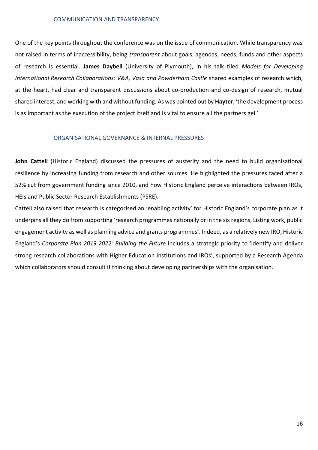#### <span id="page-16-0"></span>COMMUNICATION AND TRANSPARENCY

One of the key points throughout the conference was on the issue of communication. While transparency was not raised in terms of inaccessibility, being *transparent* about goals, agendas, needs, funds and other aspects of research is essential. **James Daybell** (University of Plymouth), in his talk tiled *Models for Developing International Research Collaborations: V&A, Vasa and Powderham Castle* shared examples of research which, at the heart, had clear and transparent discussions about co-production and co-design of research, mutual shared interest, and working with and without funding. As was pointed out by **Hayter**, 'the development process is as important as the execution of the project itself and is vital to ensure all the partners gel.'

#### ORGANISATIONAL GOVERNANCE & INTERNAL PRESSURES

<span id="page-16-1"></span>**John Cattell** (Historic England) discussed the pressures of austerity and the need to build organisational resilience by increasing funding from research and other sources. He highlighted the pressures faced after a 52% cut from government funding since 2010, and how Historic England perceive interactions between IROs, HEIs and Public Sector Research Establishments (PSRE).

Cattell also raised that research is categorised an 'enabling activity' for Historic England's corporate plan as it underpins all they do from supporting 'research programmes nationally or in the six regions, Listing work, public engagement activity as well as planning advice and grants programmes'. Indeed, as a relatively new IRO, Historic England's *Corporate Plan 2019-2022: Building the Future* includes a strategic priority to 'identify and deliver strong research collaborations with Higher Education Institutions and IROs', supported by a Research Agenda which collaborators should consult if thinking about developing partnerships with the organisation.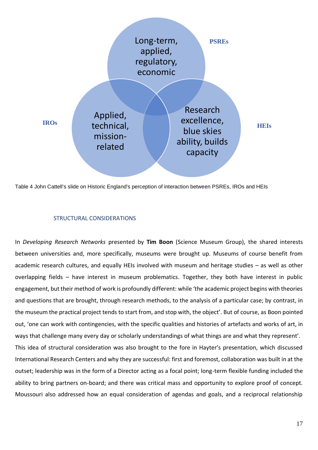

<span id="page-17-1"></span>Table 4 John Cattell's slide on Historic England's perception of interaction between PSREs, IROs and HEIs

# STRUCTURAL CONSIDERATIONS

<span id="page-17-0"></span>In *Developing Research Networks* presented by **Tim Boon** (Science Museum Group), the shared interests between universities and, more specifically, museums were brought up. Museums of course benefit from academic research cultures, and equally HEIs involved with museum and heritage studies – as well as other overlapping fields – have interest in museum problematics. Together, they both have interest in public engagement, but their method of work is profoundly different: while 'the academic project begins with theories and questions that are brought, through research methods, to the analysis of a particular case; by contrast, in the museum the practical project tends to start from, and stop with, the object'. But of course, as Boon pointed out, 'one can work with contingencies, with the specific qualities and histories of artefacts and works of art, in ways that challenge many every day or scholarly understandings of what things are and what they represent'. This idea of structural consideration was also brought to the fore in Hayter's presentation, which discussed International Research Centers and why they are successful: first and foremost, collaboration was built in at the outset; leadership was in the form of a Director acting as a focal point; long-term flexible funding included the ability to bring partners on-board; and there was critical mass and opportunity to explore proof of concept.

Moussouri also addressed how an equal consideration of agendas and goals, and a reciprocal relationship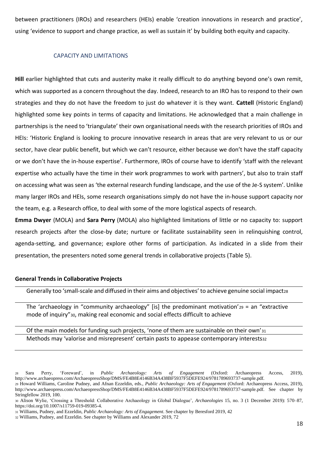between practitioners (IROs) and researchers (HEIs) enable 'creation innovations in research and practice', using 'evidence to support and change practice, as well as sustain it' by building both equity and capacity.

# <span id="page-18-0"></span>CAPACITY AND LIMITATIONS

**Hill** earlier highlighted that cuts and austerity make it really difficult to do anything beyond one's own remit, which was supported as a concern throughout the day. Indeed, research to an IRO has to respond to their own strategies and they do not have the freedom to just do whatever it is they want. **Cattell** (Historic England) highlighted some key points in terms of capacity and limitations. He acknowledged that a main challenge in partnerships is the need to 'triangulate' their own organisational needs with the research priorities of IROs and HEIs: 'Historic England is looking to procure innovative research in areas that are very relevant to us or our sector, have clear public benefit, but which we can't resource, either because we don't have the staff capacity or we don't have the in-house expertise'. Furthermore, IROs of course have to identify 'staff with the relevant expertise who actually have the time in their work programmes to work with partners', but also to train staff on accessing what was seen as 'the external research funding landscape, and the use of the Je-S system'. Unlike many larger IROs and HEIs, some research organisations simply do not have the in-house support capacity nor the team, e.g. a Research office, to deal with some of the more logistical aspects of research.

**Emma Dwyer** (MOLA) and **Sara Perry** (MOLA) also highlighted limitations of little or no capacity to: support research projects after the close-by date; nurture or facilitate sustainability seen in relinquishing control, agenda-setting, and governance; explore other forms of participation. As indicated in a slide from their presentation, the presenters noted some general trends in collaborative projects [\(Table 5\)](#page-19-1).

# **General Trends in Collaborative Projects**

Generally too 'small-scale and diffused in their aims and objectives' to achieve genuine social impact28

The 'archaeology in "community archaeology" [is] the predominant motivation'<sub>29</sub> = an "extractive mode of inquiry"30, making real economic and social effects difficult to achieve

# Of the main models for funding such projects, 'none of them are sustainable on their own'<sup>31</sup> Methods may 'valorise and misrepresent' certain pasts to appease contemporary interests32

<sup>28</sup> Sara Perry, 'Foreward', in *Public Archaeology: Arts of Engagement* (Oxford: Archaeopress Access, 2019), http://www.archaeopress.com/ArchaeopressShop/DMS/FE4B8E4146B34A438BF5937F5DEFE924/9781789693737-sample.pdf.

<sup>29</sup> Howard Williams, Caroline Pudney, and Afnan Ezzeldin, eds., *Public Archaeology: Arts of Engagement* (Oxford: Archaeopress Access, 2019), http://www.archaeopress.com/ArchaeopressShop/DMS/FE4B8E4146B34A438BF5937F5DEFE924/9781789693737-sample.pdf. See chapter by Stringfellow 2019, 100.

<sup>30</sup> Alison Wylie, 'Crossing a Threshold: Collaborative Archaeology in Global Dialogue', *Archaeologies* 15, no. 3 (1 December 2019): 570–87, https://doi.org/10.1007/s11759-019-09385-4.

<sup>31</sup> Williams, Pudney, and Ezzeldin, *Public Archaeology: Arts of Engagement*. See chapter by Beresford 2019, 42

<sup>32</sup> Williams, Pudney, and Ezzeldin. See chapter by Williams and Alexander 2019, 72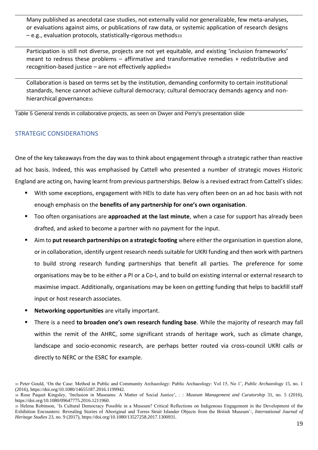Many published as anecdotal case studies, not externally valid nor generalizable, few meta-analyses, or evaluations against aims, or publications of raw data, or systemic application of research designs – e.g., evaluation protocols, statistically-rigorous methods<sup>33</sup>

Participation is still not diverse, projects are not yet equitable, and existing 'inclusion frameworks' meant to redress these problems – affirmative and transformative remedies + redistributive and recognition-based justice – are not effectively applied<sup>34</sup>

Collaboration is based on terms set by the institution, demanding conformity to certain institutional standards, hence cannot achieve cultural democracy; cultural democracy demands agency and nonhierarchical governance<sub>35</sub>

<span id="page-19-1"></span>Table 5 General trends in collaborative projects, as seen on Dwyer and Perry's presentation slide

# <span id="page-19-0"></span>STRATEGIC CONSIDERATIONS

One of the key takeaways from the day was to think about engagement through a strategic rather than reactive ad hoc basis. Indeed, this was emphasised by Cattell who presented a number of strategic moves Historic England are acting on, having learnt from previous partnerships. Below is a revised extract from Cattell's slides:

- With some exceptions, engagement with HEIs to date has very often been on an ad hoc basis with not enough emphasis on the **benefits of any partnership for one's own organisation**.
- Too often organisations are **approached at the last minute**, when a case for support has already been drafted, and asked to become a partner with no payment for the input.
- Aim to **put research partnerships on a strategic footing** where either the organisation in question alone, or in collaboration, identify urgent research needs suitable for UKRI funding and then work with partners to build strong research funding partnerships that benefit all parties. The preference for some organisations may be to be either a PI or a Co-I, and to build on existing internal or external research to maximise impact. Additionally, organisations may be keen on getting funding that helps to backfill staff input or host research associates.
- Networking opportunities are vitally important.
- There is a need **to broaden one's own research funding base**. While the majority of research may fall within the remit of the AHRC, some significant strands of heritage work, such as climate change, landscape and socio-economic research, are perhaps better routed via cross-council UKRI calls or directly to NERC or the ESRC for example.

<sup>33</sup> Peter Gould, 'On the Case: Method in Public and Community Archaeology: Public Archaeology: Vol 15, No 1', *Public Archaeology* 15, no. 1 (2016), https://doi.org/10.1080/14655187.2016.1199942.

<sup>34</sup> Rose Paquet Kingsley, 'Inclusion in Museums: A Matter of Social Justice', : *: Museum Management and Curatorship* 31, no. 5 (2016), https://doi.org/10.1080/09647775.2016.1211960.

<sup>35</sup> Helena Robinson, 'Is Cultural Democracy Possible in a Museum? Critical Reflections on Indigenous Engagement in the Development of the Exhibition Encounters: Revealing Stories of Aboriginal and Torres Strait Islander Objects from the British Museum':, *International Journal of Heritage Studies* 23, no. 9 (2017), https://doi.org/10.1080/13527258.2017.1300931.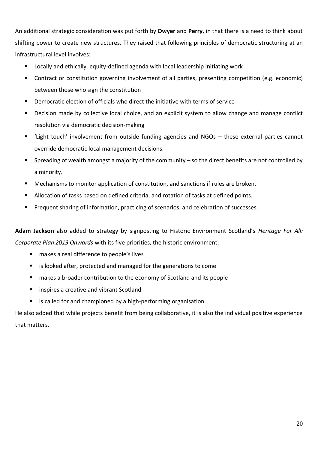An additional strategic consideration was put forth by **Dwyer** and **Perry**, in that there is a need to think about shifting power to create new structures. They raised that following principles of democratic structuring at an infrastructural level involves:

- Locally and ethically. equity-defined agenda with local leadership initiating work
- Contract or constitution governing involvement of all parties, presenting competition (e.g. economic) between those who sign the constitution
- Democratic election of officials who direct the initiative with terms of service
- Decision made by collective local choice, and an explicit system to allow change and manage conflict resolution via democratic decision-making
- 'Light touch' involvement from outside funding agencies and NGOs these external parties cannot override democratic local management decisions.
- Spreading of wealth amongst a majority of the community so the direct benefits are not controlled by a minority.
- Mechanisms to monitor application of constitution, and sanctions if rules are broken.
- Allocation of tasks based on defined criteria, and rotation of tasks at defined points.
- Frequent sharing of information, practicing of scenarios, and celebration of successes.

**Adam Jackson** also added to strategy by signposting to Historic Environment Scotland's *Heritage For All: Corporate Plan 2019 Onwards* with its five priorities, the historic environment:

- makes a real difference to people's lives
- is looked after, protected and managed for the generations to come
- makes a broader contribution to the economy of Scotland and its people
- inspires a creative and vibrant Scotland
- is called for and championed by a high-performing organisation

<span id="page-20-0"></span>He also added that while projects benefit from being collaborative, it is also the individual positive experience that matters.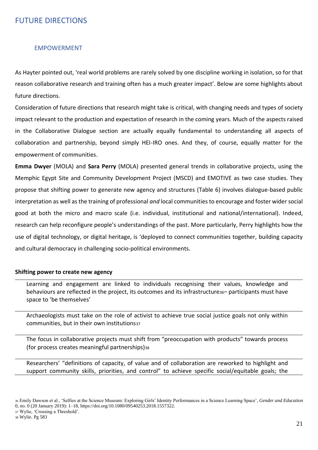# FUTURE DIRECTIONS

# <span id="page-21-0"></span>EMPOWERMENT

As Hayter pointed out, 'real world problems are rarely solved by one discipline working in isolation, so for that reason collaborative research and training often has a much greater impact'. Below are some highlights about future directions.

Consideration of future directions that research might take is critical, with changing needs and types of society impact relevant to the production and expectation of research in the coming years. Much of the aspects raised in the Collaborative Dialogue section are actually equally fundamental to understanding all aspects of collaboration and partnership, beyond simply HEI-IRO ones. And they, of course, equally matter for the empowerment of communities.

**Emma Dwyer** (MOLA) and **Sara Perry** (MOLA) presented general trends in collaborative projects, using the Memphic Egypt Site and Community Development Project (MSCD) and EMOTIVE as two case studies. They propose that shifting power to generate new agency and structures [\(Table 6\)](#page-22-0) involves dialogue-based public interpretation as well as the training of professional *and* local communities to encourage and foster wider social good at both the micro and macro scale (i.e. individual, institutional and national/international). Indeed, research can help reconfigure people's understandings of the past. More particularly, Perry highlights how the use of digital technology, or digital heritage, is 'deployed to connect communities together, building capacity and cultural democracy in challenging socio-political environments.

# **Shifting power to create new agency**

Learning and engagement are linked to individuals recognising their values, knowledge and behaviours are reflected in the project, its outcomes and its infrastructure<sub>36</sub>– participants must have space to 'be themselves'

Archaeologists must take on the role of activist to achieve true social justice goals not only within communities, but in their own institutions37

The focus in collaborative projects must shift from "preoccupation with products" towards process (for process creates meaningful partnerships)<sup>38</sup>

Researchers' "definitions of capacity, of value and of collaboration are reworked to highlight and support community skills, priorities, and control" to achieve specific social/equitable goals; the

<sup>36</sup> Emily Dawson et al., 'Selfies at the Science Museum: Exploring Girls' Identity Performances in a Science Learning Space', *Gender and Education* 0, no. 0 (20 January 2019): 1–18, https://doi.org/10.1080/09540253.2018.1557322.

<sup>37</sup> Wylie, 'Crossing a Threshold'.

<sup>38</sup> Wylie. Pg 583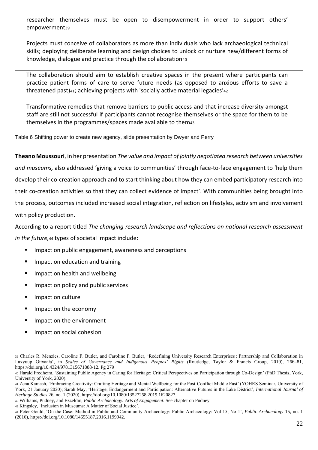researcher themselves must be open to disempowerment in order to support others' empowerment<sub>39</sub>

Projects must conceive of collaborators as more than individuals who lack archaeological technical skills; deploying deliberate learning and design choices to unlock or nurture new/different forms of knowledge, dialogue and practice through the collaboration40

The collaboration should aim to establish creative spaces in the present where participants can practice patient forms of care to serve future needs (as opposed to anxious efforts to save a threatened past)41; achieving projects with 'socially active material legacies'<sup>42</sup>

Transformative remedies that remove barriers to public access and that increase diversity amongst staff are still not successful if participants cannot recognise themselves or the space for them to be themselves in the programmes/spaces made available to them<sup>43</sup>

<span id="page-22-0"></span>Table 6 Shifting power to create new agency, slide presentation by Dwyer and Perry

**Theano Moussouri**, in her presentation *The value and impact of jointly negotiated research between universities and museums,* also addressed 'giving a voice to communities' through face-to-face engagement to 'help them develop their co-creation approach and to start thinking about how they can embed participatory research into their co-creation activities so that they can collect evidence of impact'. With communities being brought into the process, outcomes included increased social integration, reflection on lifestyles, activism and involvement with policy production.

According to a report titled *The changing research landscape and reflections on national research assessment in the future,*<sup>44</sup> types of societal impact include:

- Impact on public engagement, awareness and perceptions
- Impact on education and training
- Impact on health and wellbeing
- Impact on policy and public services
- Impact on culture
- Impact on the economy
- Impact on the environment
- Impact on social cohesion

<sup>39</sup> Charles R. Menzies, Caroline F. Butler, and Caroline F. Butler, 'Redefining University Research Enterprises : Partnership and Collaboration in Laxyuup Gitxaała', in *Scales of Governance and Indigenous Peoples' Rights* (Routledge, Taylor & Francis Group, 2019), 266–81, https://doi.org/10.4324/9781315671888-12. Pg 279

- <sup>42</sup> Williams, Pudney, and Ezzeldin, *Public Archaeology: Arts of Engagement*. See chapter on Pudney
- <sup>43</sup> Kingsley, 'Inclusion in Museums: A Matter of Social Justice'.

<sup>40</sup> Harald Fredheim, 'Sustaining Public Agency in Caring for Heritage: Critical Perspectives on Participation through Co-Design' (PhD Thesis, York, University of York, 2020).

<sup>41</sup> Zena Kamash, 'Embracing Creativity: Crafting Heritage and Mental Wellbeing for the Post-Conflict Middle East' (YOHRS Seminar, University of York, 21 January 2020); Sarah May, 'Heritage, Endangerment and Participation: Alternative Futures in the Lake District', *International Journal of Heritage Studies* 26, no. 1 (2020), https://doi.org/10.1080/13527258.2019.1620827.

<sup>44</sup> Peter Gould, 'On the Case: Method in Public and Community Archaeology: Public Archaeology: Vol 15, No 1', *Public Archaeology* 15, no. 1 (2016), https://doi.org/10.1080/14655187.2016.1199942.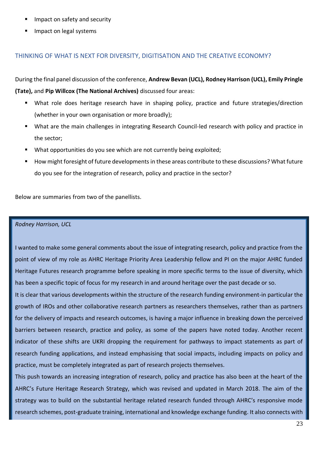- Impact on safety and security
- Impact on legal systems

# <span id="page-23-0"></span>THINKING OF WHAT IS NEXT FOR DIVERSITY, DIGITISATION AND THE CREATIVE ECONOMY?

During the final panel discussion of the conference, **Andrew Bevan (UCL), Rodney Harrison (UCL), Emily Pringle (Tate),** and **Pip Willcox (The National Archives)** discussed four areas:

- What role does heritage research have in shaping policy, practice and future strategies/direction (whether in your own organisation or more broadly);
- What are the main challenges in integrating Research Council-led research with policy and practice in the sector;
- What opportunities do you see which are not currently being exploited;
- How might foresight of future developments in these areas contribute to these discussions? What future do you see for the integration of research, policy and practice in the sector?

Below are summaries from two of the panellists.

### *Rodney Harrison, UCL*

I wanted to make some general comments about the issue of integrating research, policy and practice from the point of view of my role as AHRC Heritage Priority Area Leadership fellow and PI on the major AHRC funded Heritage Futures research programme before speaking in more specific terms to the issue of diversity, which has been a specific topic of focus for my research in and around heritage over the past decade or so.

It is clear that various developments within the structure of the research funding environment-in particular the growth of IROs and other collaborative research partners as researchers themselves, rather than as partners for the delivery of impacts and research outcomes, is having a major influence in breaking down the perceived barriers between research, practice and policy, as some of the papers have noted today. Another recent indicator of these shifts are UKRI dropping the requirement for pathways to impact statements as part of research funding applications, and instead emphasising that social impacts, including impacts on policy and practice, must be completely integrated as part of research projects themselves.

This push towards an increasing integration of research, policy and practice has also been at the heart of the AHRC's Future Heritage Research Strategy, which was revised and updated in March 2018. The aim of the strategy was to build on the substantial heritage related research funded through AHRC's responsive mode research schemes, post-graduate training, international and knowledge exchange funding. It also connects with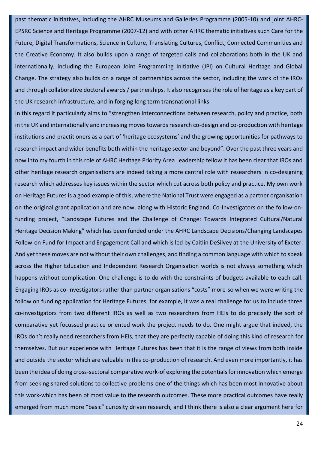past thematic initiatives, including the AHRC Museums and Galleries Programme (2005-10) and joint AHRC-EPSRC Science and Heritage Programme (2007-12) and with other AHRC thematic initiatives such Care for the Future, Digital Transformations, Science in Culture, Translating Cultures, Conflict, Connected Communities and the Creative Economy. It also builds upon a range of targeted calls and collaborations both in the UK and internationally, including the European Joint Programming Initiative (JPI) on Cultural Heritage and Global Change. The strategy also builds on a range of partnerships across the sector, including the work of the IROs and through collaborative doctoral awards / partnerships. It also recognises the role of heritage as a key part of the UK research infrastructure, and in forging long term transnational links.

In this regard it particularly aims to "strengthen interconnections between research, policy and practice, both in the UK and internationally and increasing moves towards research co-design and co-production with heritage institutions and practitioners as a part of 'heritage ecosystems' and the growing opportunities for pathways to research impact and wider benefits both within the heritage sector and beyond". Over the past three years and now into my fourth in this role of AHRC Heritage Priority Area Leadership fellow it has been clear that IROs and other heritage research organisations are indeed taking a more central role with researchers in co-designing research which addresses key issues within the sector which cut across both policy and practice. My own work on Heritage Futures is a good example of this, where the National Trust were engaged as a partner organisation on the original grant application and are now, along with Historic England, Co-Investigators on the follow-onfunding project, "Landscape Futures and the Challenge of Change: Towards Integrated Cultural/Natural Heritage Decision Making" which has been funded under the AHRC Landscape Decisions/Changing Landscapes Follow-on Fund for Impact and Engagement Call and which is led by Caitlin DeSilvey at the University of Exeter. And yet these moves are not without their own challenges, and finding a common language with which to speak across the Higher Education and Independent Research Organisation worlds is not always something which happens without complication. One challenge is to do with the constraints of budgets available to each call. Engaging IROs as co-investigators rather than partner organisations "costs" more-so when we were writing the follow on funding application for Heritage Futures, for example, it was a real challenge for us to include three co-investigators from two different IROs as well as two researchers from HEIs to do precisely the sort of comparative yet focussed practice oriented work the project needs to do. One might argue that indeed, the IROs don't really need researchers from HEIs, that they are perfectly capable of doing this kind of research for themselves. But our experience with Heritage Futures has been that it is the range of views from both inside and outside the sector which are valuable in this co-production of research. And even more importantly, it has been the idea of doing cross-sectoral comparative work-of exploring the potentials for innovation which emerge from seeking shared solutions to collective problems-one of the things which has been most innovative about this work-which has been of most value to the research outcomes. These more practical outcomes have really emerged from much more "basic" curiosity driven research, and I think there is also a clear argument here for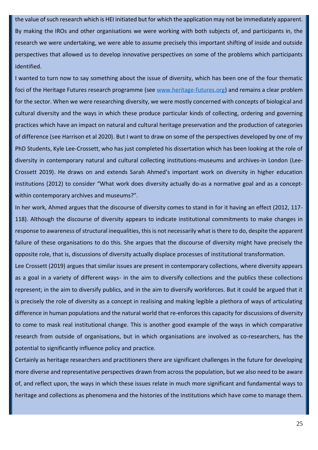the value of such research which is HEI initiated but for which the application may not be immediately apparent. By making the IROs and other organisations we were working with both subjects of, and participants in, the research we were undertaking, we were able to assume precisely this important shifting of inside and outside perspectives that allowed us to develop innovative perspectives on some of the problems which participants identified.

I wanted to turn now to say something about the issue of diversity, which has been one of the four thematic foci of the Heritage Futures research programme (see [www.heritage-futures.org\)](http://www.heritage-futures.org/) and remains a clear problem for the sector. When we were researching diversity, we were mostly concerned with concepts of biological and cultural diversity and the ways in which these produce particular kinds of collecting, ordering and governing practices which have an impact on natural and cultural heritage preservation and the production of categories of difference (see Harrison et al 2020). But I want to draw on some of the perspectives developed by one of my PhD Students, Kyle Lee-Crossett, who has just completed his dissertation which has been looking at the role of diversity in contemporary natural and cultural collecting institutions-museums and archives-in London (Lee-Crossett 2019). He draws on and extends Sarah Ahmed's important work on diversity in higher education institutions (2012) to consider "What work does diversity actually do-as a normative goal and as a conceptwithin contemporary archives and museums?".

In her work, Ahmed argues that the discourse of diversity comes to stand in for it having an effect (2012, 117- 118). Although the discourse of diversity appears to indicate institutional commitments to make changes in response to awareness of structural inequalities, this is not necessarily what is there to do, despite the apparent failure of these organisations to do this. She argues that the discourse of diversity might have precisely the opposite role, that is, discussions of diversity actually displace processes of institutional transformation.

Lee Crossett (2019) argues that similar issues are present in contemporary collections, where diversity appears as a goal in a variety of different ways- in the aim to diversify collections and the publics these collections represent; in the aim to diversify publics, and in the aim to diversify workforces. But it could be argued that it is precisely the role of diversity as a concept in realising and making legible a plethora of ways of articulating difference in human populations and the natural world that re-enforces this capacity for discussions of diversity to come to mask real institutional change. This is another good example of the ways in which comparative research from outside of organisations, but in which organisations are involved as co-researchers, has the potential to significantly influence policy and practice.

Certainly as heritage researchers and practitioners there are significant challenges in the future for developing more diverse and representative perspectives drawn from across the population, but we also need to be aware of, and reflect upon, the ways in which these issues relate in much more significant and fundamental ways to heritage and collections as phenomena and the histories of the institutions which have come to manage them.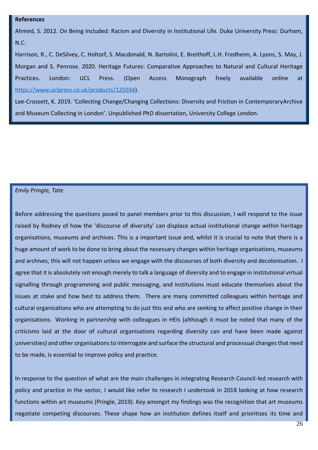#### **References**

Ahmed, S. 2012. On Being Included: Racism and Diversity in Institutional Life. Duke University Press: Durham, N.C.

Harrison, R., C. DeSilvey, C. Holtorf, S. Macdonald, N. Bartolini, E. Breithoff, L.H. Fredheim, A. Lyons, S. May, J. Morgan and S. Penrose. 2020. Heritage Futures: Comparative Approaches to Natural and Cultural Heritage Practices. London: UCL Press. (Open Access Monograph freely available online at [https://www.uclpress.co.uk/products/125034\)](https://www.uclpress.co.uk/products/125034).

Lee-Crossett, K. 2019. 'Collecting Change/Changing Collections: Diversity and Friction in ContemporaryArchive and Museum Collecting in London'. Unpublished PhD dissertation, University College London.

#### *Emily Pringle, Tate*

Before addressing the questions posed to panel members prior to this discussion, I will respond to the issue raised by Rodney of how the 'discourse of diversity' can displace actual institutional change within heritage organisations, museums and archives. This is a important issue and, whilst it is crucial to note that there is a huge amount of work to be done to bring about the necessary changes within heritage organisations, museums and archives, this will not happen unless we engage with the discourses of both diversity and decolonisation. I agree that it is absolutely not enough merely to talk a language of diversity and to engage in institutional virtual signalling through programming and public messaging, and institutions must educate themselves about the issues at stake and how best to address them. There are many committed colleagues within heritage and cultural organisations who are attempting to do just this and who are seeking to affect positive change in their organisations. Working in partnership with colleagues in HEIs (although it must be noted that many of the criticisms laid at the door of cultural organisations regarding diversity can and have been made against universities) and other organisations to interrogate and surface the structural and processual changes that need to be made, is essential to improve policy and practice.

In response to the question of what are the main challenges in integrating Research Council-led research with policy and practice in the sector, I would like refer to research I undertook in 2018 looking at how research functions within art museums (Pringle, 2019). Key amongst my findings was the recognition that art museums negotiate competing discourses. These shape how an institution defines itself and prioritises its time and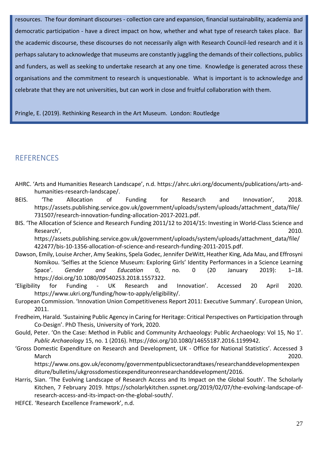resources. The four dominant discourses - collection care and expansion, financial sustainability, academia and democratic participation - have a direct impact on how, whether and what type of research takes place. Bar the academic discourse, these discourses do not necessarily align with Research Council-led research and it is perhaps salutary to acknowledge that museums are constantly juggling the demands of their collections, publics and funders, as well as seeking to undertake research at any one time. Knowledge is generated across these organisations and the commitment to research is unquestionable. What is important is to acknowledge and celebrate that they are not universities, but can work in close and fruitful collaboration with them.

Pringle, E. (2019). Rethinking Research in the Art Museum. London: Routledge

# **REFERENCES**

- AHRC. 'Arts and Humanities Research Landscape', n.d. https://ahrc.ukri.org/documents/publications/arts-andhumanities-research-landscape/.
- BEIS. 'The Allocation of Funding for Research and Innovation', 2018. https://assets.publishing.service.gov.uk/government/uploads/system/uploads/attachment\_data/file/ 731507/research-innovation-funding-allocation-2017-2021.pdf.
- BIS. 'The Allocation of Science and Research Funding 2011/12 to 2014/15: Investing in World-Class Science and Research', 2010. https://assets.publishing.service.gov.uk/government/uploads/system/uploads/attachment\_data/file/ 422477/bis-10-1356-allocation-of-science-and-research-funding-2011-2015.pdf.
- Dawson, Emily, Louise Archer, Amy Seakins, Spela Godec, Jennifer DeWitt, Heather King, Ada Mau, and Effrosyni Nomikou. 'Selfies at the Science Museum: Exploring Girls' Identity Performances in a Science Learning Space'. *Gender and Education* 0, no. 0 (20 January 2019): 1–18. https://doi.org/10.1080/09540253.2018.1557322.
- 'Eligibility for Funding UK Research and Innovation'. Accessed 20 April 2020. https://www.ukri.org/funding/how-to-apply/eligibility/.
- European Commission. 'Innovation Union Competitiveness Report 2011: Executive Summary'. European Union, 2011.
- Fredheim, Harald. 'Sustaining Public Agency in Caring for Heritage: Critical Perspectives on Participation through Co-Design'. PhD Thesis, University of York, 2020.
- Gould, Peter. 'On the Case: Method in Public and Community Archaeology: Public Archaeology: Vol 15, No 1'. *Public Archaeology* 15, no. 1 (2016). https://doi.org/10.1080/14655187.2016.1199942.
- 'Gross Domestic Expenditure on Research and Development, UK Office for National Statistics'. Accessed 3 March 2020.

https://www.ons.gov.uk/economy/governmentpublicsectorandtaxes/researchanddevelopmentexpen diture/bulletins/ukgrossdomesticexpenditureonresearchanddevelopment/2016.

- Harris, Sian. 'The Evolving Landscape of Research Access and Its Impact on the Global South'. The Scholarly Kitchen, 7 February 2019. https://scholarlykitchen.sspnet.org/2019/02/07/the-evolving-landscape-ofresearch-access-and-its-impact-on-the-global-south/.
- HEFCE. 'Research Excellence Framework', n.d.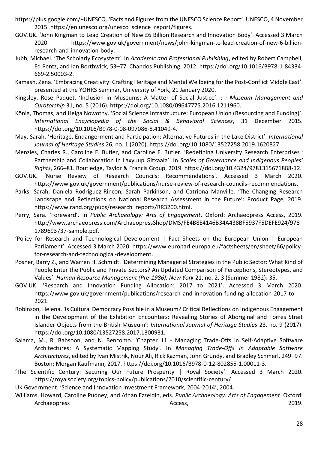- https://plus.google.com/+UNESCO. 'Facts and Figures from the UNESCO Science Report'. UNESCO, 4 November 2015. https://en.unesco.org/unesco\_science\_report/figures.
- GOV.UK. 'John Kingman to Lead Creation of New £6 Billion Research and Innovation Body'. Accessed 3 March 2020. https://www.gov.uk/government/news/john-kingman-to-lead-creation-of-new-6-billionresearch-and-innovation-body.
- Jubb, Michael. 'The Scholarly Ecosystem'. In *Academic and Professional Publishing*, edited by Robert Campbell, Ed Pentz, and Ian Borthwick, 53–77. Chandos Publishing, 2012. https://doi.org/10.1016/B978-1-84334- 669-2.50003-2.
- Kamash, Zena. 'Embracing Creativity: Crafting Heritage and Mental Wellbeing for the Post-Conflict Middle East'. presented at the YOHRS Seminar, University of York, 21 January 2020.
- Kingsley, Rose Paquet. 'Inclusion in Museums: A Matter of Social Justice'. : *: Museum Management and Curatorship* 31, no. 5 (2016). https://doi.org/10.1080/09647775.2016.1211960.
- König, Thomas, and Helga Nowotny. 'Social Science Infrastructure: European Union (Resourcing and Funding)'. *International Encyclopedia of the Social & Behavioral Sciences*, 31 December 2015. https://doi.org/10.1016/B978-0-08-097086-8.41049-4.
- May, Sarah. 'Heritage, Endangerment and Participation: Alternative Futures in the Lake District'. *International Journal of Heritage Studies* 26, no. 1 (2020). https://doi.org/10.1080/13527258.2019.1620827.
- Menzies, Charles R., Caroline F. Butler, and Caroline F. Butler. 'Redefining University Research Enterprises : Partnership and Collaboration in Laxyuup Gitxaała'. In *Scales of Governance and Indigenous Peoples' Rights*, 266–81. Routledge, Taylor & Francis Group, 2019. https://doi.org/10.4324/9781315671888-12.
- GOV.UK. 'Nurse Review of Research Councils: Recommendations'. Accessed 3 March 2020. https://www.gov.uk/government/publications/nurse-review-of-research-councils-recommendations.
- Parks, Sarah, Daniela Rodriguez-Rincon, Sarah Parkinson, and Catriona Manville. 'The Changing Research Landscape and Reflections on National Research Assessment in the Future': Product Page, 2019. https://www.rand.org/pubs/research\_reports/RR3200.html.
- Perry, Sara. 'Foreward'. In *Public Archaeology: Arts of Engagement*. Oxford: Archaeopress Access, 2019. http://www.archaeopress.com/ArchaeopressShop/DMS/FE4B8E4146B34A438BF5937F5DEFE924/978 1789693737-sample.pdf.
- 'Policy for Research and Technological Development | Fact Sheets on the European Union | European Parliament'. Accessed 3 March 2020. https://www.europarl.europa.eu/factsheets/en/sheet/66/policyfor-research-and-technological-development.
- Posner, Barry Z., and Warren H. Schmidt. 'Determining Managerial Strategies in the Public Sector: What Kind of People Enter the Public and Private Sectors? An Updated Comparison of Perceptions, Stereotypes, and Values'. *Human Resource Management (Pre-1986); New York* 21, no. 2, 3 (Summer 1982): 35.
- GOV.UK. 'Research and Innovation Funding Allocation: 2017 to 2021'. Accessed 3 March 2020. https://www.gov.uk/government/publications/research-and-innovation-funding-allocation-2017-to-2021.
- Robinson, Helena. 'Is Cultural Democracy Possible in a Museum? Critical Reflections on Indigenous Engagement in the Development of the Exhibition Encounters: Revealing Stories of Aboriginal and Torres Strait Islander Objects from the British Museum': *International Journal of Heritage Studies* 23, no. 9 (2017). https://doi.org/10.1080/13527258.2017.1300931.
- Salama, M., R. Bahsoon, and N. Bencomo. 'Chapter 11 Managing Trade-Offs in Self-Adaptive Software Architectures: A Systematic Mapping Study'. In *Managing Trade-Offs in Adaptable Software Architectures*, edited by Ivan Mistrik, Nour Ali, Rick Kazman, John Grundy, and Bradley Schmerl, 249–97. Boston: Morgan Kaufmann, 2017. https://doi.org/10.1016/B978-0-12-802855-1.00011-3.
- 'The Scientific Century: Securing Our Future Prosperity | Royal Society'. Accessed 3 March 2020. https://royalsociety.org/topics-policy/publications/2010/scientific-century/.

UK Government. 'Science and Innovation Investment Framework, 2004-2014', 2004.

Williams, Howard, Caroline Pudney, and Afnan Ezzeldin, eds. *Public Archaeology: Arts of Engagement*. Oxford: Archaeopress 2019.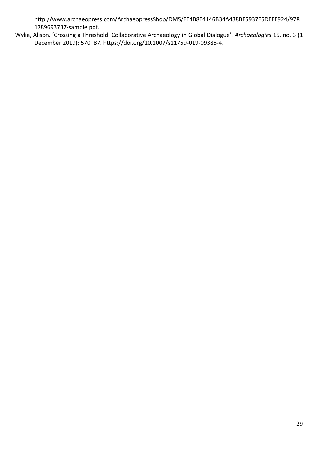http://www.archaeopress.com/ArchaeopressShop/DMS/FE4B8E4146B34A438BF5937F5DEFE924/978 1789693737-sample.pdf.

Wylie, Alison. 'Crossing a Threshold: Collaborative Archaeology in Global Dialogue'. *Archaeologies* 15, no. 3 (1 December 2019): 570–87. https://doi.org/10.1007/s11759-019-09385-4.